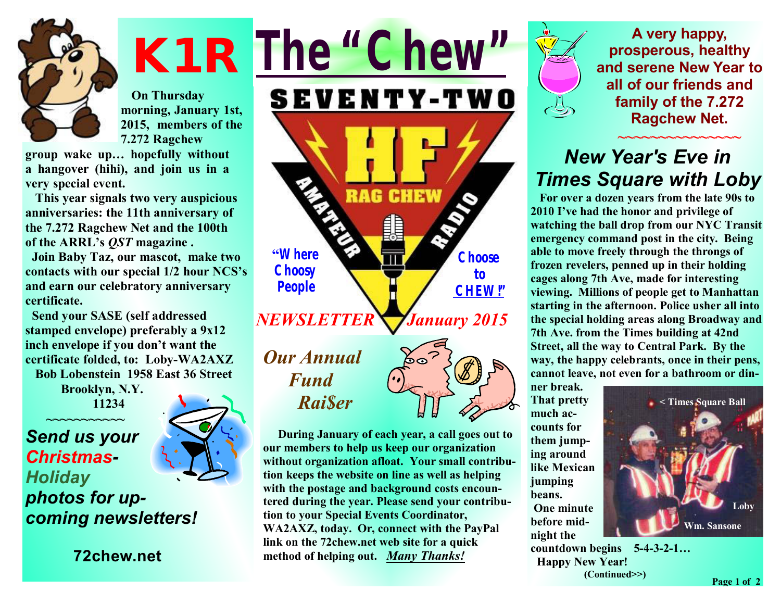

 **On Thursday morning, January 1st, 2015, members of the 7.272 Ragchew** 

**group wake up… hopefully without a hangover (hihi), and join us in a very special event.** 

 **This year signals two very auspicious anniversaries: the 11th anniversary of the 7.272 Ragchew Net and the 100th of the ARRL's** *QST* **magazine .** 

 **Join Baby Taz, our mascot, make two contacts with our special 1/2 hour NCS's and earn our celebratory anniversary certificate.** 

 **Send your SASE (self addressed stamped envelope) preferably a 9x12 inch envelope if you don't want the certificate folded, to: Loby-WA2AXZ Bob Lobenstein 1958 East 36 Street** 

> **Brooklyn, N.Y. 11234**

**~~~~~~~~~~~**  *Send us your Christmas-Holiday photos for upcoming newsletters!*

**72chew.net**

**K1R**  *The "Chew"* **SEVENTY-TWO RAG CHEW "Where Choose Choosy to People CHEW!"** *NEWSLETTER*  *January 2015 Our Annual Fund Rai\$er* 

> **During January of each year, a call goes out to our members to help us keep our organization without organization afloat. Your small contribution keeps the website on line as well as helping with the postage and background costs encountered during the year. Please send your contribution to your Special Events Coordinator, WA2AXZ, today. Or, connect with the PayPal link on the 72chew.net web site for a quick method of helping out.** *Many Thanks!*



**A very happy, prosperous, healthy and serene New Year to all of our friends and family of the 7.272 Ragchew Net.** 

## **~~~~~~~~~~~~~~~**  *New Year's Eve in Times Square with Loby*

**For over a dozen years from the late 90s to 2010 I've had the honor and privilege of watching the ball drop from our NYC Transit emergency command post in the city. Being able to move freely through the throngs of frozen revelers, penned up in their holding cages along 7th Ave, made for interesting viewing. Millions of people get to Manhattan starting in the afternoon. Police usher all into the special holding areas along Broadway and 7th Ave. from the Times building at 42nd Street, all the way to Central Park. By the way, the happy celebrants, once in their pens, cannot leave, not even for a bathroom or din-**

**ner break. That pretty much accounts for them jumping around like Mexican jumping beans. One minute before midnight the** 



**countdown begins 5-4-3-2-1… Happy New Year! (Continued>>)**

**Page 1 of 2**